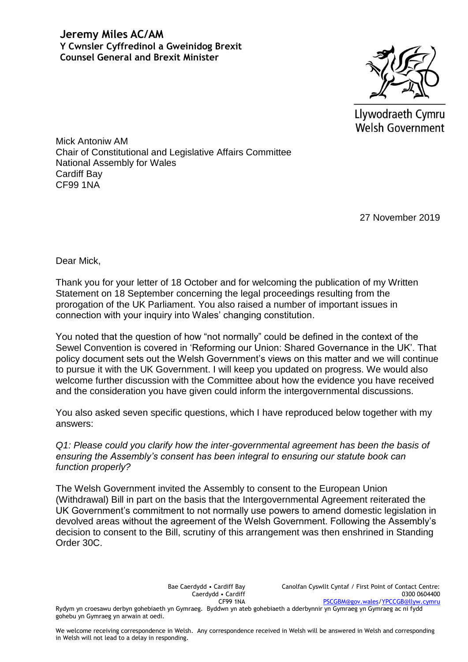

Llywodraeth Cymru **Welsh Government** 

Mick Antoniw AM Chair of Constitutional and Legislative Affairs Committee National Assembly for Wales Cardiff Bay CF99 1NA

27 November 2019

Dear Mick,

Thank you for your letter of 18 October and for welcoming the publication of my Written Statement on 18 September concerning the legal proceedings resulting from the prorogation of the UK Parliament. You also raised a number of important issues in connection with your inquiry into Wales' changing constitution.

You noted that the question of how "not normally" could be defined in the context of the Sewel Convention is covered in 'Reforming our Union: Shared Governance in the UK'. That policy document sets out the Welsh Government's views on this matter and we will continue to pursue it with the UK Government. I will keep you updated on progress. We would also welcome further discussion with the Committee about how the evidence you have received and the consideration you have given could inform the intergovernmental discussions.

You also asked seven specific questions, which I have reproduced below together with my answers:

*Q1: Please could you clarify how the inter-governmental agreement has been the basis of ensuring the Assembly's consent has been integral to ensuring our statute book can function properly?*

The Welsh Government invited the Assembly to consent to the European Union (Withdrawal) Bill in part on the basis that the Intergovernmental Agreement reiterated the UK Government's commitment to not normally use powers to amend domestic legislation in devolved areas without the agreement of the Welsh Government. Following the Assembly's decision to consent to the Bill, scrutiny of this arrangement was then enshrined in Standing Order 30C.

> Bae Caerdydd • Cardiff Bay Caerdydd • Cardiff CF99 1NA

Canolfan Cyswllt Cyntaf / First Point of Contact Centre: 0300 0604400 [PSCGBM@gov.wales](mailto:PSCGBM@gov.wales)[/YPCCGB@llyw.cymru](mailto:YPCCGB@llyw.cymru)

Rydym yn croesawu derbyn gohebiaeth yn Gymraeg. Byddwn yn ateb gohebiaeth a dderbynnir yn Gymraeg yn Gymraeg ac ni fydd gohebu yn Gymraeg yn arwain at oedi.

We welcome receiving correspondence in Welsh. Any correspondence received in Welsh will be answered in Welsh and corresponding in Welsh will not lead to a delay in responding.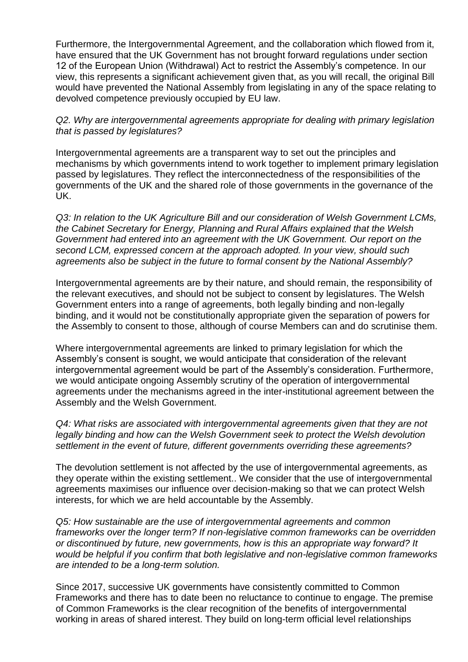Furthermore, the Intergovernmental Agreement, and the collaboration which flowed from it, have ensured that the UK Government has not brought forward regulations under section 12 of the European Union (Withdrawal) Act to restrict the Assembly's competence. In our view, this represents a significant achievement given that, as you will recall, the original Bill would have prevented the National Assembly from legislating in any of the space relating to devolved competence previously occupied by EU law.

*Q2. Why are intergovernmental agreements appropriate for dealing with primary legislation that is passed by legislatures?*

Intergovernmental agreements are a transparent way to set out the principles and mechanisms by which governments intend to work together to implement primary legislation passed by legislatures. They reflect the interconnectedness of the responsibilities of the governments of the UK and the shared role of those governments in the governance of the UK.

*Q3: In relation to the UK Agriculture Bill and our consideration of Welsh Government LCMs, the Cabinet Secretary for Energy, Planning and Rural Affairs explained that the Welsh Government had entered into an agreement with the UK Government. Our report on the second LCM, expressed concern at the approach adopted. In your view, should such agreements also be subject in the future to formal consent by the National Assembly?*

Intergovernmental agreements are by their nature, and should remain, the responsibility of the relevant executives, and should not be subject to consent by legislatures. The Welsh Government enters into a range of agreements, both legally binding and non-legally binding, and it would not be constitutionally appropriate given the separation of powers for the Assembly to consent to those, although of course Members can and do scrutinise them.

Where intergovernmental agreements are linked to primary legislation for which the Assembly's consent is sought, we would anticipate that consideration of the relevant intergovernmental agreement would be part of the Assembly's consideration. Furthermore, we would anticipate ongoing Assembly scrutiny of the operation of intergovernmental agreements under the mechanisms agreed in the inter-institutional agreement between the Assembly and the Welsh Government.

*Q4: What risks are associated with intergovernmental agreements given that they are not legally binding and how can the Welsh Government seek to protect the Welsh devolution settlement in the event of future, different governments overriding these agreements?*

The devolution settlement is not affected by the use of intergovernmental agreements, as they operate within the existing settlement.. We consider that the use of intergovernmental agreements maximises our influence over decision-making so that we can protect Welsh interests, for which we are held accountable by the Assembly.

*Q5: How sustainable are the use of intergovernmental agreements and common frameworks over the longer term? If non-legislative common frameworks can be overridden or discontinued by future, new governments, how is this an appropriate way forward? It would be helpful if you confirm that both legislative and non-legislative common frameworks are intended to be a long-term solution.*

Since 2017, successive UK governments have consistently committed to Common Frameworks and there has to date been no reluctance to continue to engage. The premise of Common Frameworks is the clear recognition of the benefits of intergovernmental working in areas of shared interest. They build on long-term official level relationships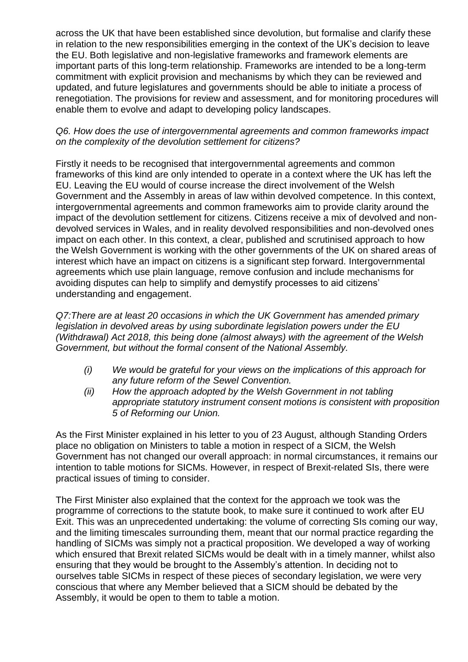across the UK that have been established since devolution, but formalise and clarify these in relation to the new responsibilities emerging in the context of the UK's decision to leave the EU. Both legislative and non-legislative frameworks and framework elements are important parts of this long-term relationship. Frameworks are intended to be a long-term commitment with explicit provision and mechanisms by which they can be reviewed and updated, and future legislatures and governments should be able to initiate a process of renegotiation. The provisions for review and assessment, and for monitoring procedures will enable them to evolve and adapt to developing policy landscapes.

## *Q6. How does the use of intergovernmental agreements and common frameworks impact on the complexity of the devolution settlement for citizens?*

Firstly it needs to be recognised that intergovernmental agreements and common frameworks of this kind are only intended to operate in a context where the UK has left the EU. Leaving the EU would of course increase the direct involvement of the Welsh Government and the Assembly in areas of law within devolved competence. In this context, intergovernmental agreements and common frameworks aim to provide clarity around the impact of the devolution settlement for citizens. Citizens receive a mix of devolved and nondevolved services in Wales, and in reality devolved responsibilities and non-devolved ones impact on each other. In this context, a clear, published and scrutinised approach to how the Welsh Government is working with the other governments of the UK on shared areas of interest which have an impact on citizens is a significant step forward. Intergovernmental agreements which use plain language, remove confusion and include mechanisms for avoiding disputes can help to simplify and demystify processes to aid citizens' understanding and engagement.

*Q7:There are at least 20 occasions in which the UK Government has amended primary legislation in devolved areas by using subordinate legislation powers under the EU (Withdrawal) Act 2018, this being done (almost always) with the agreement of the Welsh Government, but without the formal consent of the National Assembly.*

- *(i) We would be grateful for your views on the implications of this approach for any future reform of the Sewel Convention.*
- *(ii) How the approach adopted by the Welsh Government in not tabling appropriate statutory instrument consent motions is consistent with proposition 5 of Reforming our Union.*

As the First Minister explained in his letter to you of 23 August, although Standing Orders place no obligation on Ministers to table a motion in respect of a SICM, the Welsh Government has not changed our overall approach: in normal circumstances, it remains our intention to table motions for SICMs. However, in respect of Brexit-related SIs, there were practical issues of timing to consider.

The First Minister also explained that the context for the approach we took was the programme of corrections to the statute book, to make sure it continued to work after EU Exit. This was an unprecedented undertaking: the volume of correcting SIs coming our way, and the limiting timescales surrounding them, meant that our normal practice regarding the handling of SICMs was simply not a practical proposition. We developed a way of working which ensured that Brexit related SICMs would be dealt with in a timely manner, whilst also ensuring that they would be brought to the Assembly's attention. In deciding not to ourselves table SICMs in respect of these pieces of secondary legislation, we were very conscious that where any Member believed that a SICM should be debated by the Assembly, it would be open to them to table a motion.